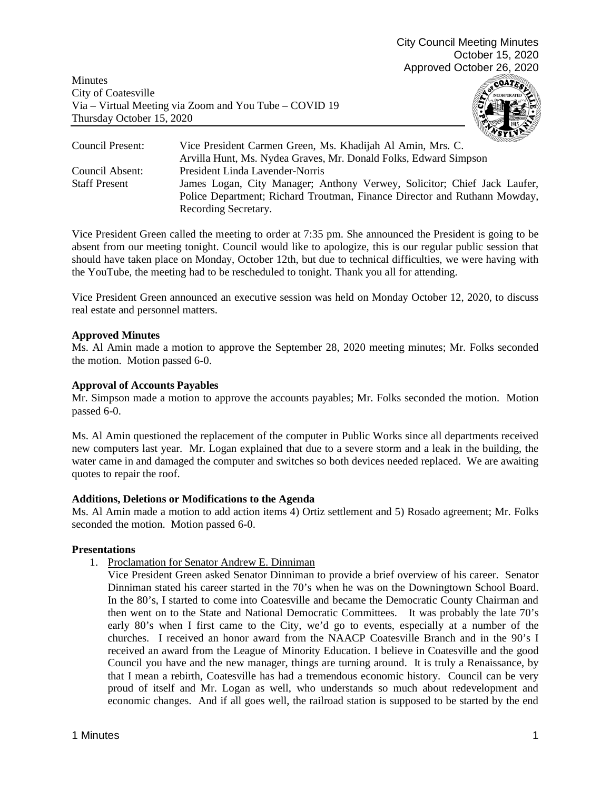Minutes City of Coatesville Via – Virtual Meeting via Zoom and You Tube – COVID 19 Thursday October 15, 2020



| Council Present:     | muna<br>Vice President Carmen Green, Ms. Khadijah Al Amin, Mrs. C.        |
|----------------------|---------------------------------------------------------------------------|
|                      | Arvilla Hunt, Ms. Nydea Graves, Mr. Donald Folks, Edward Simpson          |
| Council Absent:      | President Linda Lavender-Norris                                           |
| <b>Staff Present</b> | James Logan, City Manager; Anthony Verwey, Solicitor; Chief Jack Laufer,  |
|                      | Police Department; Richard Troutman, Finance Director and Ruthann Mowday, |
|                      | Recording Secretary.                                                      |

Vice President Green called the meeting to order at 7:35 pm. She announced the President is going to be absent from our meeting tonight. Council would like to apologize, this is our regular public session that should have taken place on Monday, October 12th, but due to technical difficulties, we were having with the YouTube, the meeting had to be rescheduled to tonight. Thank you all for attending.

Vice President Green announced an executive session was held on Monday October 12, 2020, to discuss real estate and personnel matters.

## **Approved Minutes**

Ms. Al Amin made a motion to approve the September 28, 2020 meeting minutes; Mr. Folks seconded the motion. Motion passed 6-0.

### **Approval of Accounts Payables**

Mr. Simpson made a motion to approve the accounts payables; Mr. Folks seconded the motion. Motion passed 6-0.

Ms. Al Amin questioned the replacement of the computer in Public Works since all departments received new computers last year. Mr. Logan explained that due to a severe storm and a leak in the building, the water came in and damaged the computer and switches so both devices needed replaced. We are awaiting quotes to repair the roof.

### **Additions, Deletions or Modifications to the Agenda**

Ms. Al Amin made a motion to add action items 4) Ortiz settlement and 5) Rosado agreement; Mr. Folks seconded the motion. Motion passed 6-0.

# **Presentations**

1. Proclamation for Senator Andrew E. Dinniman

Vice President Green asked Senator Dinniman to provide a brief overview of his career. Senator Dinniman stated his career started in the 70's when he was on the Downingtown School Board. In the 80's, I started to come into Coatesville and became the Democratic County Chairman and then went on to the State and National Democratic Committees. It was probably the late 70's early 80's when I first came to the City, we'd go to events, especially at a number of the churches. I received an honor award from the NAACP Coatesville Branch and in the 90's I received an award from the League of Minority Education. I believe in Coatesville and the good Council you have and the new manager, things are turning around. It is truly a Renaissance, by that I mean a rebirth, Coatesville has had a tremendous economic history. Council can be very proud of itself and Mr. Logan as well, who understands so much about redevelopment and economic changes. And if all goes well, the railroad station is supposed to be started by the end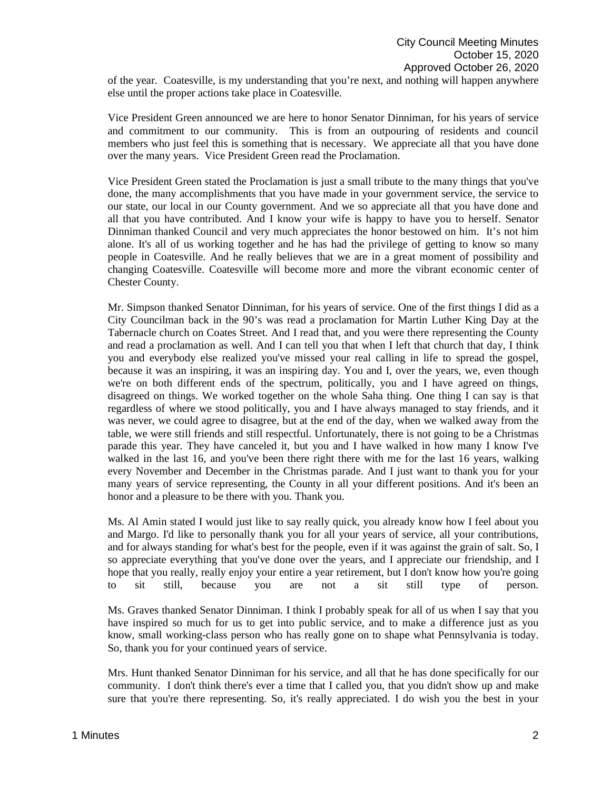of the year. Coatesville, is my understanding that you're next, and nothing will happen anywhere else until the proper actions take place in Coatesville.

Vice President Green announced we are here to honor Senator Dinniman, for his years of service and commitment to our community. This is from an outpouring of residents and council members who just feel this is something that is necessary. We appreciate all that you have done over the many years. Vice President Green read the Proclamation.

Vice President Green stated the Proclamation is just a small tribute to the many things that you've done, the many accomplishments that you have made in your government service, the service to our state, our local in our County government. And we so appreciate all that you have done and all that you have contributed. And I know your wife is happy to have you to herself. Senator Dinniman thanked Council and very much appreciates the honor bestowed on him. It's not him alone. It's all of us working together and he has had the privilege of getting to know so many people in Coatesville. And he really believes that we are in a great moment of possibility and changing Coatesville. Coatesville will become more and more the vibrant economic center of Chester County.

Mr. Simpson thanked Senator Dinniman, for his years of service. One of the first things I did as a City Councilman back in the 90's was read a proclamation for Martin Luther King Day at the Tabernacle church on Coates Street. And I read that, and you were there representing the County and read a proclamation as well. And I can tell you that when I left that church that day, I think you and everybody else realized you've missed your real calling in life to spread the gospel, because it was an inspiring, it was an inspiring day. You and I, over the years, we, even though we're on both different ends of the spectrum, politically, you and I have agreed on things, disagreed on things. We worked together on the whole Saha thing. One thing I can say is that regardless of where we stood politically, you and I have always managed to stay friends, and it was never, we could agree to disagree, but at the end of the day, when we walked away from the table, we were still friends and still respectful. Unfortunately, there is not going to be a Christmas parade this year. They have canceled it, but you and I have walked in how many I know I've walked in the last 16, and you've been there right there with me for the last 16 years, walking every November and December in the Christmas parade. And I just want to thank you for your many years of service representing, the County in all your different positions. And it's been an honor and a pleasure to be there with you. Thank you.

Ms. Al Amin stated I would just like to say really quick, you already know how I feel about you and Margo. I'd like to personally thank you for all your years of service, all your contributions, and for always standing for what's best for the people, even if it was against the grain of salt. So, I so appreciate everything that you've done over the years, and I appreciate our friendship, and I hope that you really, really enjoy your entire a year retirement, but I don't know how you're going to sit still, because you are not a sit still type of person.

Ms. Graves thanked Senator Dinniman. I think I probably speak for all of us when I say that you have inspired so much for us to get into public service, and to make a difference just as you know, small working-class person who has really gone on to shape what Pennsylvania is today. So, thank you for your continued years of service.

Mrs. Hunt thanked Senator Dinniman for his service, and all that he has done specifically for our community. I don't think there's ever a time that I called you, that you didn't show up and make sure that you're there representing. So, it's really appreciated. I do wish you the best in your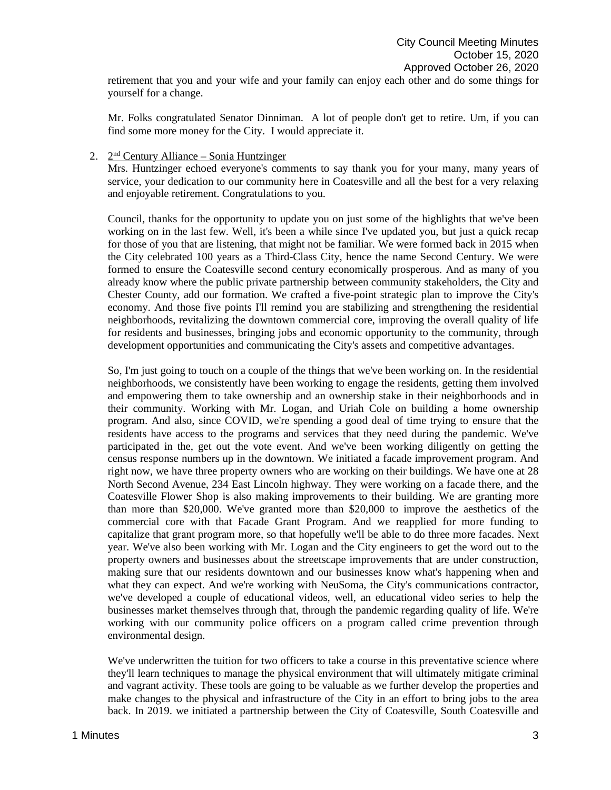retirement that you and your wife and your family can enjoy each other and do some things for yourself for a change.

Mr. Folks congratulated Senator Dinniman. A lot of people don't get to retire. Um, if you can find some more money for the City. I would appreciate it.

#### 2.  $2<sup>nd</sup>$  Century Alliance – Sonia Huntzinger

Mrs. Huntzinger echoed everyone's comments to say thank you for your many, many years of service, your dedication to our community here in Coatesville and all the best for a very relaxing and enjoyable retirement. Congratulations to you.

Council, thanks for the opportunity to update you on just some of the highlights that we've been working on in the last few. Well, it's been a while since I've updated you, but just a quick recap for those of you that are listening, that might not be familiar. We were formed back in 2015 when the City celebrated 100 years as a Third-Class City, hence the name Second Century. We were formed to ensure the Coatesville second century economically prosperous. And as many of you already know where the public private partnership between community stakeholders, the City and Chester County, add our formation. We crafted a five-point strategic plan to improve the City's economy. And those five points I'll remind you are stabilizing and strengthening the residential neighborhoods, revitalizing the downtown commercial core, improving the overall quality of life for residents and businesses, bringing jobs and economic opportunity to the community, through development opportunities and communicating the City's assets and competitive advantages.

So, I'm just going to touch on a couple of the things that we've been working on. In the residential neighborhoods, we consistently have been working to engage the residents, getting them involved and empowering them to take ownership and an ownership stake in their neighborhoods and in their community. Working with Mr. Logan, and Uriah Cole on building a home ownership program. And also, since COVID, we're spending a good deal of time trying to ensure that the residents have access to the programs and services that they need during the pandemic. We've participated in the, get out the vote event. And we've been working diligently on getting the census response numbers up in the downtown. We initiated a facade improvement program. And right now, we have three property owners who are working on their buildings. We have one at 28 North Second Avenue, 234 East Lincoln highway. They were working on a facade there, and the Coatesville Flower Shop is also making improvements to their building. We are granting more than more than \$20,000. We've granted more than \$20,000 to improve the aesthetics of the commercial core with that Facade Grant Program. And we reapplied for more funding to capitalize that grant program more, so that hopefully we'll be able to do three more facades. Next year. We've also been working with Mr. Logan and the City engineers to get the word out to the property owners and businesses about the streetscape improvements that are under construction, making sure that our residents downtown and our businesses know what's happening when and what they can expect. And we're working with NeuSoma, the City's communications contractor, we've developed a couple of educational videos, well, an educational video series to help the businesses market themselves through that, through the pandemic regarding quality of life. We're working with our community police officers on a program called crime prevention through environmental design.

We've underwritten the tuition for two officers to take a course in this preventative science where they'll learn techniques to manage the physical environment that will ultimately mitigate criminal and vagrant activity. These tools are going to be valuable as we further develop the properties and make changes to the physical and infrastructure of the City in an effort to bring jobs to the area back. In 2019. we initiated a partnership between the City of Coatesville, South Coatesville and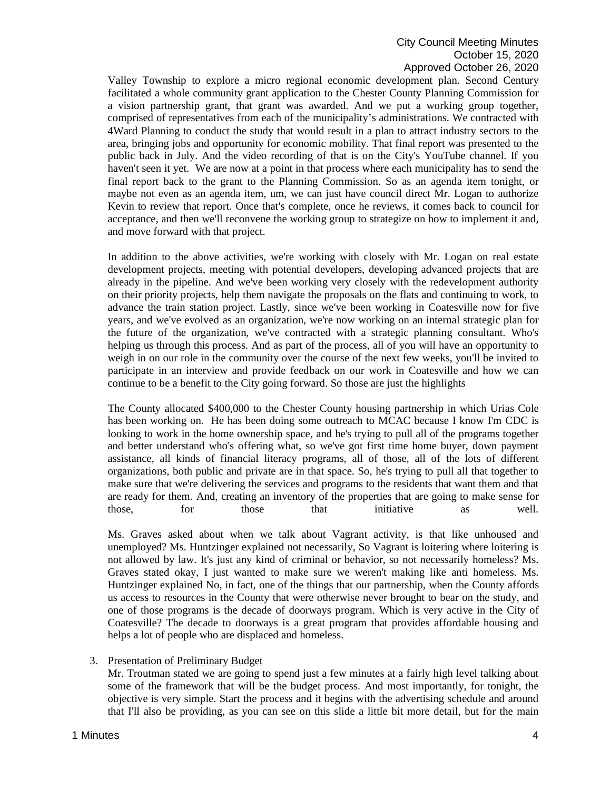Valley Township to explore a micro regional economic development plan. Second Century facilitated a whole community grant application to the Chester County Planning Commission for a vision partnership grant, that grant was awarded. And we put a working group together, comprised of representatives from each of the municipality's administrations. We contracted with 4Ward Planning to conduct the study that would result in a plan to attract industry sectors to the area, bringing jobs and opportunity for economic mobility. That final report was presented to the public back in July. And the video recording of that is on the City's YouTube channel. If you haven't seen it yet. We are now at a point in that process where each municipality has to send the final report back to the grant to the Planning Commission. So as an agenda item tonight, or maybe not even as an agenda item, um, we can just have council direct Mr. Logan to authorize Kevin to review that report. Once that's complete, once he reviews, it comes back to council for acceptance, and then we'll reconvene the working group to strategize on how to implement it and, and move forward with that project.

In addition to the above activities, we're working with closely with Mr. Logan on real estate development projects, meeting with potential developers, developing advanced projects that are already in the pipeline. And we've been working very closely with the redevelopment authority on their priority projects, help them navigate the proposals on the flats and continuing to work, to advance the train station project. Lastly, since we've been working in Coatesville now for five years, and we've evolved as an organization, we're now working on an internal strategic plan for the future of the organization, we've contracted with a strategic planning consultant. Who's helping us through this process. And as part of the process, all of you will have an opportunity to weigh in on our role in the community over the course of the next few weeks, you'll be invited to participate in an interview and provide feedback on our work in Coatesville and how we can continue to be a benefit to the City going forward. So those are just the highlights

The County allocated \$400,000 to the Chester County housing partnership in which Urias Cole has been working on. He has been doing some outreach to MCAC because I know I'm CDC is looking to work in the home ownership space, and he's trying to pull all of the programs together and better understand who's offering what, so we've got first time home buyer, down payment assistance, all kinds of financial literacy programs, all of those, all of the lots of different organizations, both public and private are in that space. So, he's trying to pull all that together to make sure that we're delivering the services and programs to the residents that want them and that are ready for them. And, creating an inventory of the properties that are going to make sense for those, for those that initiative as well.

Ms. Graves asked about when we talk about Vagrant activity, is that like unhoused and unemployed? Ms. Huntzinger explained not necessarily, So Vagrant is loitering where loitering is not allowed by law. It's just any kind of criminal or behavior, so not necessarily homeless? Ms. Graves stated okay, I just wanted to make sure we weren't making like anti homeless. Ms. Huntzinger explained No, in fact, one of the things that our partnership, when the County affords us access to resources in the County that were otherwise never brought to bear on the study, and one of those programs is the decade of doorways program. Which is very active in the City of Coatesville? The decade to doorways is a great program that provides affordable housing and helps a lot of people who are displaced and homeless.

### 3. Presentation of Preliminary Budget

Mr. Troutman stated we are going to spend just a few minutes at a fairly high level talking about some of the framework that will be the budget process. And most importantly, for tonight, the objective is very simple. Start the process and it begins with the advertising schedule and around that I'll also be providing, as you can see on this slide a little bit more detail, but for the main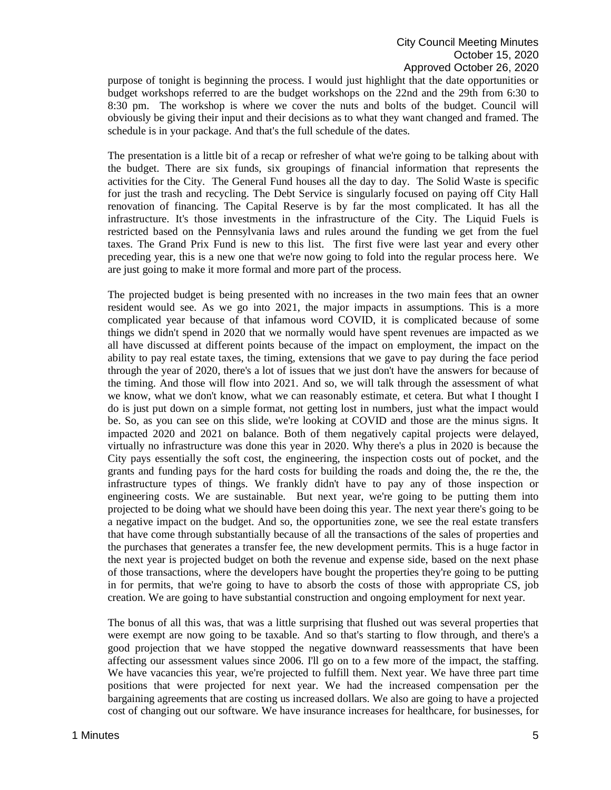purpose of tonight is beginning the process. I would just highlight that the date opportunities or budget workshops referred to are the budget workshops on the 22nd and the 29th from 6:30 to 8:30 pm. The workshop is where we cover the nuts and bolts of the budget. Council will obviously be giving their input and their decisions as to what they want changed and framed. The schedule is in your package. And that's the full schedule of the dates.

The presentation is a little bit of a recap or refresher of what we're going to be talking about with the budget. There are six funds, six groupings of financial information that represents the activities for the City. The General Fund houses all the day to day. The Solid Waste is specific for just the trash and recycling. The Debt Service is singularly focused on paying off City Hall renovation of financing. The Capital Reserve is by far the most complicated. It has all the infrastructure. It's those investments in the infrastructure of the City. The Liquid Fuels is restricted based on the Pennsylvania laws and rules around the funding we get from the fuel taxes. The Grand Prix Fund is new to this list. The first five were last year and every other preceding year, this is a new one that we're now going to fold into the regular process here. We are just going to make it more formal and more part of the process.

The projected budget is being presented with no increases in the two main fees that an owner resident would see. As we go into 2021, the major impacts in assumptions. This is a more complicated year because of that infamous word COVID, it is complicated because of some things we didn't spend in 2020 that we normally would have spent revenues are impacted as we all have discussed at different points because of the impact on employment, the impact on the ability to pay real estate taxes, the timing, extensions that we gave to pay during the face period through the year of 2020, there's a lot of issues that we just don't have the answers for because of the timing. And those will flow into 2021. And so, we will talk through the assessment of what we know, what we don't know, what we can reasonably estimate, et cetera. But what I thought I do is just put down on a simple format, not getting lost in numbers, just what the impact would be. So, as you can see on this slide, we're looking at COVID and those are the minus signs. It impacted 2020 and 2021 on balance. Both of them negatively capital projects were delayed, virtually no infrastructure was done this year in 2020. Why there's a plus in 2020 is because the City pays essentially the soft cost, the engineering, the inspection costs out of pocket, and the grants and funding pays for the hard costs for building the roads and doing the, the re the, the infrastructure types of things. We frankly didn't have to pay any of those inspection or engineering costs. We are sustainable. But next year, we're going to be putting them into projected to be doing what we should have been doing this year. The next year there's going to be a negative impact on the budget. And so, the opportunities zone, we see the real estate transfers that have come through substantially because of all the transactions of the sales of properties and the purchases that generates a transfer fee, the new development permits. This is a huge factor in the next year is projected budget on both the revenue and expense side, based on the next phase of those transactions, where the developers have bought the properties they're going to be putting in for permits, that we're going to have to absorb the costs of those with appropriate CS, job creation. We are going to have substantial construction and ongoing employment for next year.

The bonus of all this was, that was a little surprising that flushed out was several properties that were exempt are now going to be taxable. And so that's starting to flow through, and there's a good projection that we have stopped the negative downward reassessments that have been affecting our assessment values since 2006. I'll go on to a few more of the impact, the staffing. We have vacancies this year, we're projected to fulfill them. Next year. We have three part time positions that were projected for next year. We had the increased compensation per the bargaining agreements that are costing us increased dollars. We also are going to have a projected cost of changing out our software. We have insurance increases for healthcare, for businesses, for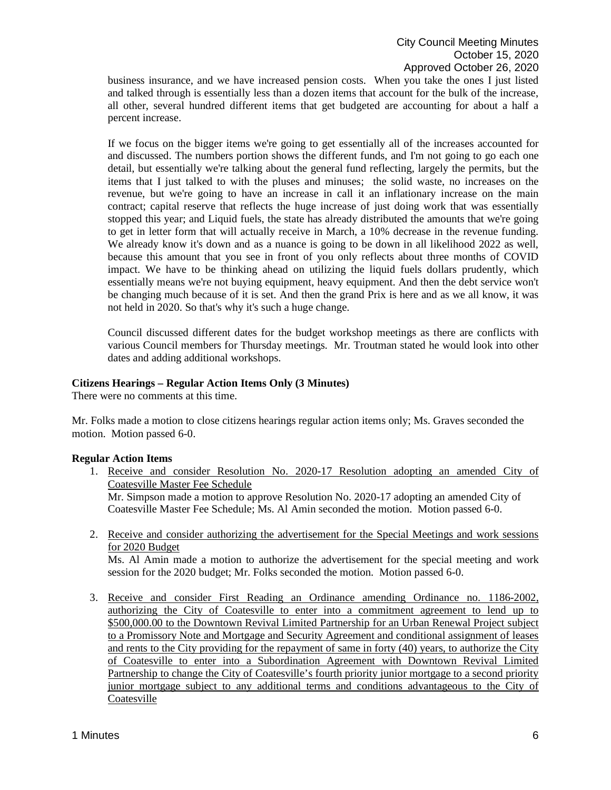business insurance, and we have increased pension costs. When you take the ones I just listed and talked through is essentially less than a dozen items that account for the bulk of the increase, all other, several hundred different items that get budgeted are accounting for about a half a percent increase.

If we focus on the bigger items we're going to get essentially all of the increases accounted for and discussed. The numbers portion shows the different funds, and I'm not going to go each one detail, but essentially we're talking about the general fund reflecting, largely the permits, but the items that I just talked to with the pluses and minuses; the solid waste, no increases on the revenue, but we're going to have an increase in call it an inflationary increase on the main contract; capital reserve that reflects the huge increase of just doing work that was essentially stopped this year; and Liquid fuels, the state has already distributed the amounts that we're going to get in letter form that will actually receive in March, a 10% decrease in the revenue funding. We already know it's down and as a nuance is going to be down in all likelihood 2022 as well, because this amount that you see in front of you only reflects about three months of COVID impact. We have to be thinking ahead on utilizing the liquid fuels dollars prudently, which essentially means we're not buying equipment, heavy equipment. And then the debt service won't be changing much because of it is set. And then the grand Prix is here and as we all know, it was not held in 2020. So that's why it's such a huge change.

Council discussed different dates for the budget workshop meetings as there are conflicts with various Council members for Thursday meetings. Mr. Troutman stated he would look into other dates and adding additional workshops.

### **Citizens Hearings – Regular Action Items Only (3 Minutes)**

There were no comments at this time.

Mr. Folks made a motion to close citizens hearings regular action items only; Ms. Graves seconded the motion. Motion passed 6-0.

### **Regular Action Items**

1. Receive and consider Resolution No. 2020-17 Resolution adopting an amended City of Coatesville Master Fee Schedule Mr. Simpson made a motion to approve Resolution No. 2020-17 adopting an amended City of

Coatesville Master Fee Schedule; Ms. Al Amin seconded the motion. Motion passed 6-0.

2. Receive and consider authorizing the advertisement for the Special Meetings and work sessions for 2020 Budget

Ms. Al Amin made a motion to authorize the advertisement for the special meeting and work session for the 2020 budget; Mr. Folks seconded the motion. Motion passed 6-0.

3. Receive and consider First Reading an Ordinance amending Ordinance no. 1186-2002, authorizing the City of Coatesville to enter into a commitment agreement to lend up to \$500,000.00 to the Downtown Revival Limited Partnership for an Urban Renewal Project subject to a Promissory Note and Mortgage and Security Agreement and conditional assignment of leases and rents to the City providing for the repayment of same in forty (40) years, to authorize the City of Coatesville to enter into a Subordination Agreement with Downtown Revival Limited Partnership to change the City of Coatesville's fourth priority junior mortgage to a second priority junior mortgage subject to any additional terms and conditions advantageous to the City of Coatesville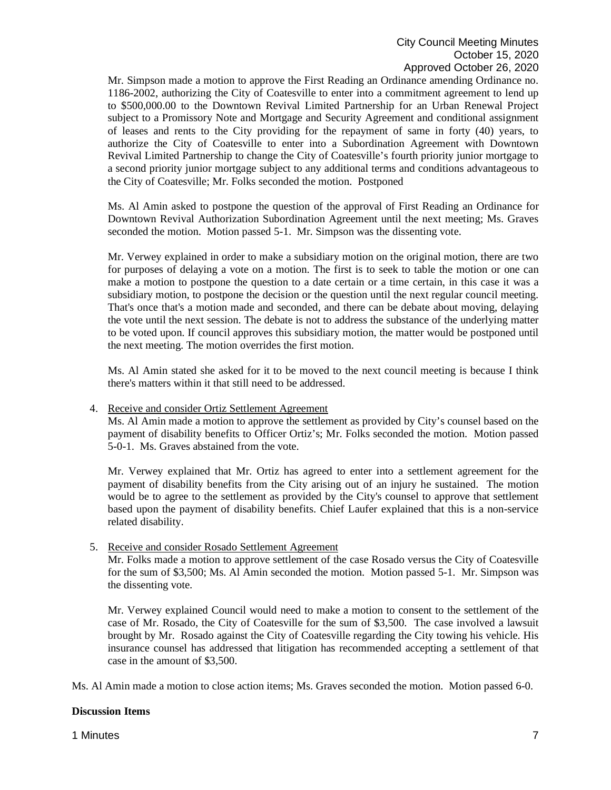Mr. Simpson made a motion to approve the First Reading an Ordinance amending Ordinance no. 1186-2002, authorizing the City of Coatesville to enter into a commitment agreement to lend up to \$500,000.00 to the Downtown Revival Limited Partnership for an Urban Renewal Project subject to a Promissory Note and Mortgage and Security Agreement and conditional assignment of leases and rents to the City providing for the repayment of same in forty (40) years, to authorize the City of Coatesville to enter into a Subordination Agreement with Downtown Revival Limited Partnership to change the City of Coatesville's fourth priority junior mortgage to a second priority junior mortgage subject to any additional terms and conditions advantageous to the City of Coatesville; Mr. Folks seconded the motion. Postponed

Ms. Al Amin asked to postpone the question of the approval of First Reading an Ordinance for Downtown Revival Authorization Subordination Agreement until the next meeting; Ms. Graves seconded the motion. Motion passed 5-1. Mr. Simpson was the dissenting vote.

Mr. Verwey explained in order to make a subsidiary motion on the original motion, there are two for purposes of delaying a vote on a motion. The first is to seek to table the motion or one can make a motion to postpone the question to a date certain or a time certain, in this case it was a subsidiary motion, to postpone the decision or the question until the next regular council meeting. That's once that's a motion made and seconded, and there can be debate about moving, delaying the vote until the next session. The debate is not to address the substance of the underlying matter to be voted upon. If council approves this subsidiary motion, the matter would be postponed until the next meeting. The motion overrides the first motion.

Ms. Al Amin stated she asked for it to be moved to the next council meeting is because I think there's matters within it that still need to be addressed.

### 4. Receive and consider Ortiz Settlement Agreement

Ms. Al Amin made a motion to approve the settlement as provided by City's counsel based on the payment of disability benefits to Officer Ortiz's; Mr. Folks seconded the motion. Motion passed 5-0-1. Ms. Graves abstained from the vote.

Mr. Verwey explained that Mr. Ortiz has agreed to enter into a settlement agreement for the payment of disability benefits from the City arising out of an injury he sustained. The motion would be to agree to the settlement as provided by the City's counsel to approve that settlement based upon the payment of disability benefits. Chief Laufer explained that this is a non-service related disability.

### 5. Receive and consider Rosado Settlement Agreement

Mr. Folks made a motion to approve settlement of the case Rosado versus the City of Coatesville for the sum of \$3,500; Ms. Al Amin seconded the motion. Motion passed 5-1. Mr. Simpson was the dissenting vote.

Mr. Verwey explained Council would need to make a motion to consent to the settlement of the case of Mr. Rosado, the City of Coatesville for the sum of \$3,500. The case involved a lawsuit brought by Mr. Rosado against the City of Coatesville regarding the City towing his vehicle. His insurance counsel has addressed that litigation has recommended accepting a settlement of that case in the amount of \$3,500.

Ms. Al Amin made a motion to close action items; Ms. Graves seconded the motion. Motion passed 6-0.

### **Discussion Items**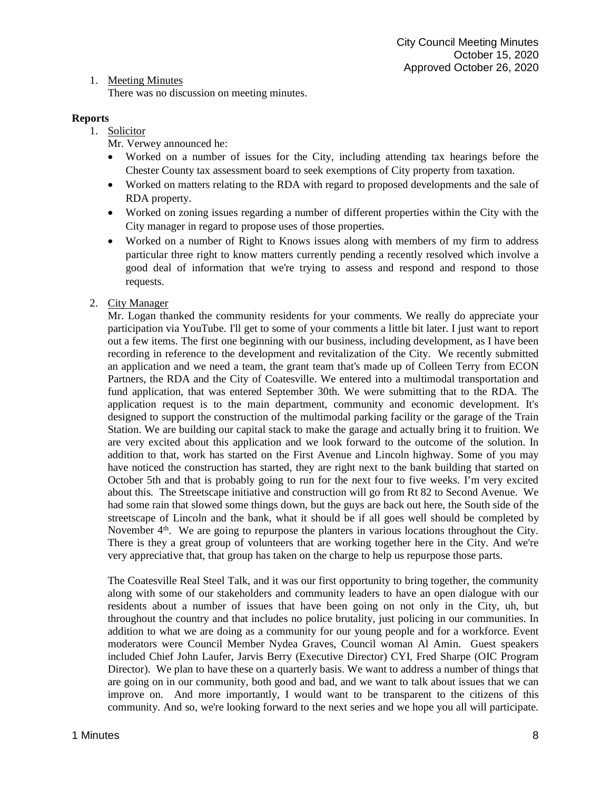1. Meeting Minutes

There was no discussion on meeting minutes.

# **Reports**

- 1. Solicitor
	- Mr. Verwey announced he:
	- Worked on a number of issues for the City, including attending tax hearings before the Chester County tax assessment board to seek exemptions of City property from taxation.
	- Worked on matters relating to the RDA with regard to proposed developments and the sale of RDA property.
	- Worked on zoning issues regarding a number of different properties within the City with the City manager in regard to propose uses of those properties.
	- Worked on a number of Right to Knows issues along with members of my firm to address particular three right to know matters currently pending a recently resolved which involve a good deal of information that we're trying to assess and respond and respond to those requests.
- 2. City Manager

Mr. Logan thanked the community residents for your comments. We really do appreciate your participation via YouTube. I'll get to some of your comments a little bit later. I just want to report out a few items. The first one beginning with our business, including development, as I have been recording in reference to the development and revitalization of the City. We recently submitted an application and we need a team, the grant team that's made up of Colleen Terry from ECON Partners, the RDA and the City of Coatesville. We entered into a multimodal transportation and fund application, that was entered September 30th. We were submitting that to the RDA. The application request is to the main department, community and economic development. It's designed to support the construction of the multimodal parking facility or the garage of the Train Station. We are building our capital stack to make the garage and actually bring it to fruition. We are very excited about this application and we look forward to the outcome of the solution. In addition to that, work has started on the First Avenue and Lincoln highway. Some of you may have noticed the construction has started, they are right next to the bank building that started on October 5th and that is probably going to run for the next four to five weeks. I'm very excited about this. The Streetscape initiative and construction will go from Rt 82 to Second Avenue. We had some rain that slowed some things down, but the guys are back out here, the South side of the streetscape of Lincoln and the bank, what it should be if all goes well should be completed by November  $4<sup>th</sup>$ . We are going to repurpose the planters in various locations throughout the City. There is they a great group of volunteers that are working together here in the City. And we're very appreciative that, that group has taken on the charge to help us repurpose those parts.

The Coatesville Real Steel Talk, and it was our first opportunity to bring together, the community along with some of our stakeholders and community leaders to have an open dialogue with our residents about a number of issues that have been going on not only in the City, uh, but throughout the country and that includes no police brutality, just policing in our communities. In addition to what we are doing as a community for our young people and for a workforce. Event moderators were Council Member Nydea Graves, Council woman Al Amin. Guest speakers included Chief John Laufer, Jarvis Berry (Executive Director) CYI, Fred Sharpe (OIC Program Director). We plan to have these on a quarterly basis. We want to address a number of things that are going on in our community, both good and bad, and we want to talk about issues that we can improve on. And more importantly, I would want to be transparent to the citizens of this community. And so, we're looking forward to the next series and we hope you all will participate.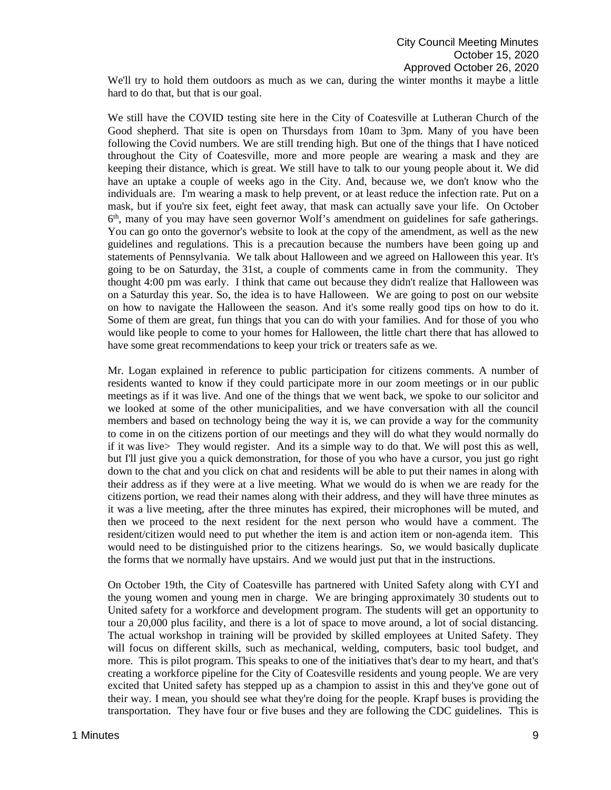We'll try to hold them outdoors as much as we can, during the winter months it maybe a little hard to do that, but that is our goal.

We still have the COVID testing site here in the City of Coatesville at Lutheran Church of the Good shepherd. That site is open on Thursdays from 10am to 3pm. Many of you have been following the Covid numbers. We are still trending high. But one of the things that I have noticed throughout the City of Coatesville, more and more people are wearing a mask and they are keeping their distance, which is great. We still have to talk to our young people about it. We did have an uptake a couple of weeks ago in the City. And, because we, we don't know who the individuals are. I'm wearing a mask to help prevent, or at least reduce the infection rate. Put on a mask, but if you're six feet, eight feet away, that mask can actually save your life. On October 6th, many of you may have seen governor Wolf's amendment on guidelines for safe gatherings. You can go onto the governor's website to look at the copy of the amendment, as well as the new guidelines and regulations. This is a precaution because the numbers have been going up and statements of Pennsylvania. We talk about Halloween and we agreed on Halloween this year. It's going to be on Saturday, the 31st, a couple of comments came in from the community. They thought 4:00 pm was early. I think that came out because they didn't realize that Halloween was on a Saturday this year. So, the idea is to have Halloween. We are going to post on our website on how to navigate the Halloween the season. And it's some really good tips on how to do it. Some of them are great, fun things that you can do with your families. And for those of you who would like people to come to your homes for Halloween, the little chart there that has allowed to have some great recommendations to keep your trick or treaters safe as we.

Mr. Logan explained in reference to public participation for citizens comments. A number of residents wanted to know if they could participate more in our zoom meetings or in our public meetings as if it was live. And one of the things that we went back, we spoke to our solicitor and we looked at some of the other municipalities, and we have conversation with all the council members and based on technology being the way it is, we can provide a way for the community to come in on the citizens portion of our meetings and they will do what they would normally do if it was live> They would register. And its a simple way to do that. We will post this as well, but I'll just give you a quick demonstration, for those of you who have a cursor, you just go right down to the chat and you click on chat and residents will be able to put their names in along with their address as if they were at a live meeting. What we would do is when we are ready for the citizens portion, we read their names along with their address, and they will have three minutes as it was a live meeting, after the three minutes has expired, their microphones will be muted, and then we proceed to the next resident for the next person who would have a comment. The resident/citizen would need to put whether the item is and action item or non-agenda item. This would need to be distinguished prior to the citizens hearings. So, we would basically duplicate the forms that we normally have upstairs. And we would just put that in the instructions.

On October 19th, the City of Coatesville has partnered with United Safety along with CYI and the young women and young men in charge. We are bringing approximately 30 students out to United safety for a workforce and development program. The students will get an opportunity to tour a 20,000 plus facility, and there is a lot of space to move around, a lot of social distancing. The actual workshop in training will be provided by skilled employees at United Safety. They will focus on different skills, such as mechanical, welding, computers, basic tool budget, and more. This is pilot program. This speaks to one of the initiatives that's dear to my heart, and that's creating a workforce pipeline for the City of Coatesville residents and young people. We are very excited that United safety has stepped up as a champion to assist in this and they've gone out of their way. I mean, you should see what they're doing for the people. Krapf buses is providing the transportation. They have four or five buses and they are following the CDC guidelines. This is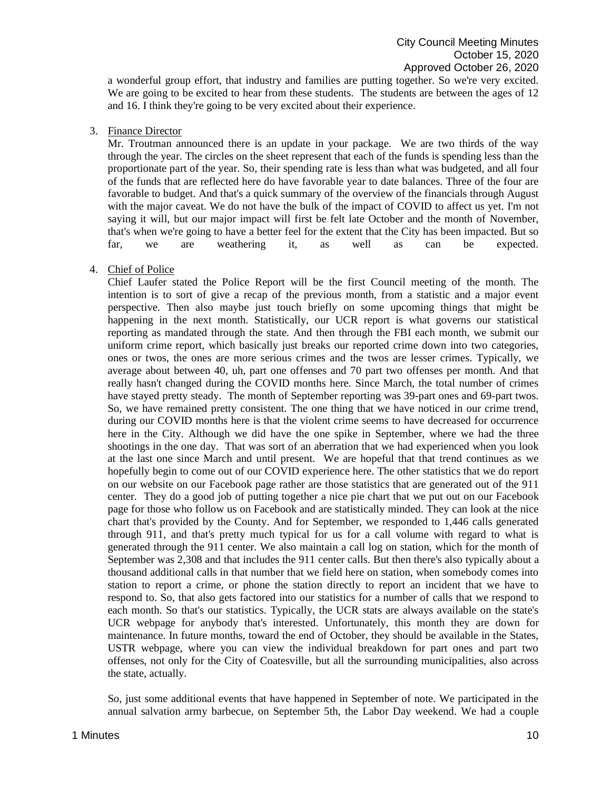a wonderful group effort, that industry and families are putting together. So we're very excited. We are going to be excited to hear from these students. The students are between the ages of 12 and 16. I think they're going to be very excited about their experience.

#### 3. Finance Director

Mr. Troutman announced there is an update in your package. We are two thirds of the way through the year. The circles on the sheet represent that each of the funds is spending less than the proportionate part of the year. So, their spending rate is less than what was budgeted, and all four of the funds that are reflected here do have favorable year to date balances. Three of the four are favorable to budget. And that's a quick summary of the overview of the financials through August with the major caveat. We do not have the bulk of the impact of COVID to affect us yet. I'm not saying it will, but our major impact will first be felt late October and the month of November, that's when we're going to have a better feel for the extent that the City has been impacted. But so far, we are weathering it, as well as can be expected.

### 4. Chief of Police

Chief Laufer stated the Police Report will be the first Council meeting of the month. The intention is to sort of give a recap of the previous month, from a statistic and a major event perspective. Then also maybe just touch briefly on some upcoming things that might be happening in the next month. Statistically, our UCR report is what governs our statistical reporting as mandated through the state. And then through the FBI each month, we submit our uniform crime report, which basically just breaks our reported crime down into two categories, ones or twos, the ones are more serious crimes and the twos are lesser crimes. Typically, we average about between 40, uh, part one offenses and 70 part two offenses per month. And that really hasn't changed during the COVID months here. Since March, the total number of crimes have stayed pretty steady. The month of September reporting was 39-part ones and 69-part twos. So, we have remained pretty consistent. The one thing that we have noticed in our crime trend, during our COVID months here is that the violent crime seems to have decreased for occurrence here in the City. Although we did have the one spike in September, where we had the three shootings in the one day. That was sort of an aberration that we had experienced when you look at the last one since March and until present. We are hopeful that that trend continues as we hopefully begin to come out of our COVID experience here. The other statistics that we do report on our website on our Facebook page rather are those statistics that are generated out of the 911 center. They do a good job of putting together a nice pie chart that we put out on our Facebook page for those who follow us on Facebook and are statistically minded. They can look at the nice chart that's provided by the County. And for September, we responded to 1,446 calls generated through 911, and that's pretty much typical for us for a call volume with regard to what is generated through the 911 center. We also maintain a call log on station, which for the month of September was 2,308 and that includes the 911 center calls. But then there's also typically about a thousand additional calls in that number that we field here on station, when somebody comes into station to report a crime, or phone the station directly to report an incident that we have to respond to. So, that also gets factored into our statistics for a number of calls that we respond to each month. So that's our statistics. Typically, the UCR stats are always available on the state's UCR webpage for anybody that's interested. Unfortunately, this month they are down for maintenance. In future months, toward the end of October, they should be available in the States, USTR webpage, where you can view the individual breakdown for part ones and part two offenses, not only for the City of Coatesville, but all the surrounding municipalities, also across the state, actually.

So, just some additional events that have happened in September of note. We participated in the annual salvation army barbecue, on September 5th, the Labor Day weekend. We had a couple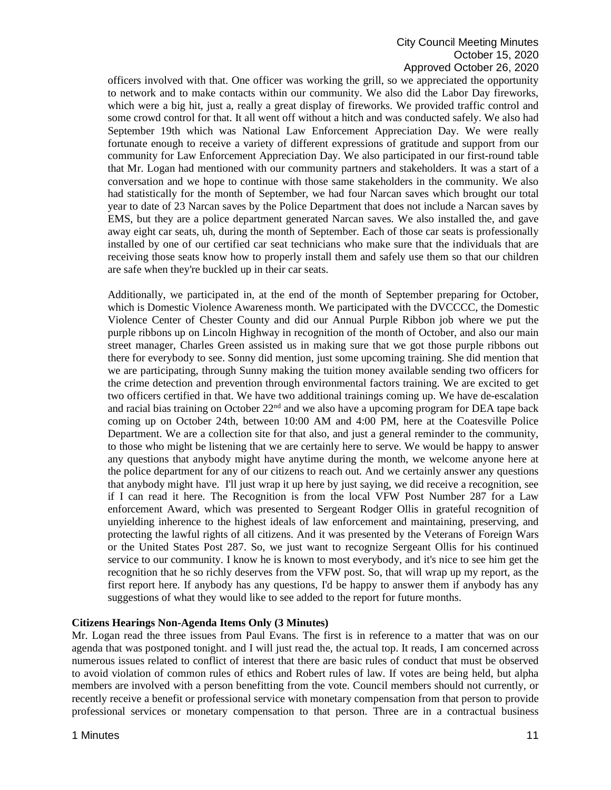# City Council Meeting Minutes October 15, 2020 Approved October 26, 2020

officers involved with that. One officer was working the grill, so we appreciated the opportunity to network and to make contacts within our community. We also did the Labor Day fireworks, which were a big hit, just a, really a great display of fireworks. We provided traffic control and some crowd control for that. It all went off without a hitch and was conducted safely. We also had September 19th which was National Law Enforcement Appreciation Day. We were really fortunate enough to receive a variety of different expressions of gratitude and support from our community for Law Enforcement Appreciation Day. We also participated in our first-round table that Mr. Logan had mentioned with our community partners and stakeholders. It was a start of a conversation and we hope to continue with those same stakeholders in the community. We also had statistically for the month of September, we had four Narcan saves which brought our total year to date of 23 Narcan saves by the Police Department that does not include a Narcan saves by EMS, but they are a police department generated Narcan saves. We also installed the, and gave away eight car seats, uh, during the month of September. Each of those car seats is professionally installed by one of our certified car seat technicians who make sure that the individuals that are receiving those seats know how to properly install them and safely use them so that our children are safe when they're buckled up in their car seats.

Additionally, we participated in, at the end of the month of September preparing for October, which is Domestic Violence Awareness month. We participated with the DVCCCC, the Domestic Violence Center of Chester County and did our Annual Purple Ribbon job where we put the purple ribbons up on Lincoln Highway in recognition of the month of October, and also our main street manager, Charles Green assisted us in making sure that we got those purple ribbons out there for everybody to see. Sonny did mention, just some upcoming training. She did mention that we are participating, through Sunny making the tuition money available sending two officers for the crime detection and prevention through environmental factors training. We are excited to get two officers certified in that. We have two additional trainings coming up. We have de-escalation and racial bias training on October  $22<sup>nd</sup>$  and we also have a upcoming program for DEA tape back coming up on October 24th, between 10:00 AM and 4:00 PM, here at the Coatesville Police Department. We are a collection site for that also, and just a general reminder to the community, to those who might be listening that we are certainly here to serve. We would be happy to answer any questions that anybody might have anytime during the month, we welcome anyone here at the police department for any of our citizens to reach out. And we certainly answer any questions that anybody might have. I'll just wrap it up here by just saying, we did receive a recognition, see if I can read it here. The Recognition is from the local VFW Post Number 287 for a Law enforcement Award, which was presented to Sergeant Rodger Ollis in grateful recognition of unyielding inherence to the highest ideals of law enforcement and maintaining, preserving, and protecting the lawful rights of all citizens. And it was presented by the Veterans of Foreign Wars or the United States Post 287. So, we just want to recognize Sergeant Ollis for his continued service to our community. I know he is known to most everybody, and it's nice to see him get the recognition that he so richly deserves from the VFW post. So, that will wrap up my report, as the first report here. If anybody has any questions, I'd be happy to answer them if anybody has any suggestions of what they would like to see added to the report for future months.

### **Citizens Hearings Non-Agenda Items Only (3 Minutes)**

Mr. Logan read the three issues from Paul Evans. The first is in reference to a matter that was on our agenda that was postponed tonight. and I will just read the, the actual top. It reads, I am concerned across numerous issues related to conflict of interest that there are basic rules of conduct that must be observed to avoid violation of common rules of ethics and Robert rules of law. If votes are being held, but alpha members are involved with a person benefitting from the vote. Council members should not currently, or recently receive a benefit or professional service with monetary compensation from that person to provide professional services or monetary compensation to that person. Three are in a contractual business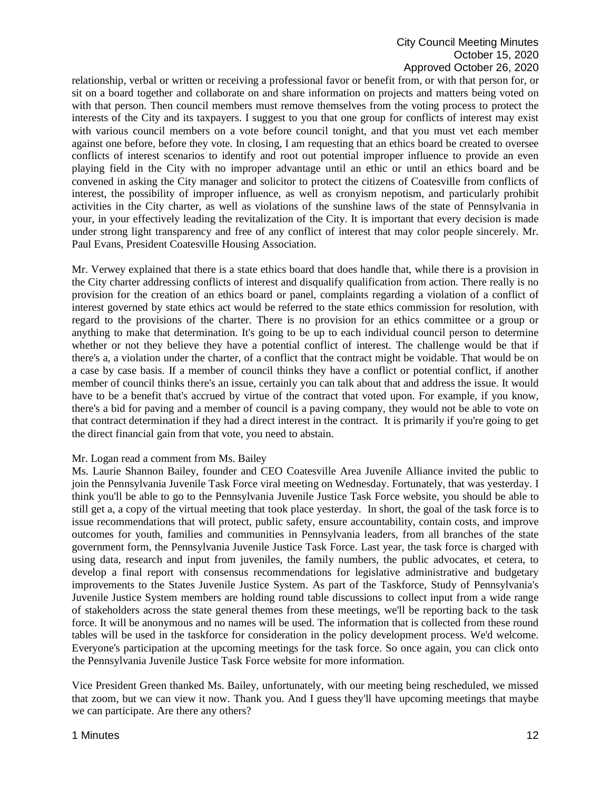## City Council Meeting Minutes October 15, 2020 Approved October 26, 2020

relationship, verbal or written or receiving a professional favor or benefit from, or with that person for, or sit on a board together and collaborate on and share information on projects and matters being voted on with that person. Then council members must remove themselves from the voting process to protect the interests of the City and its taxpayers. I suggest to you that one group for conflicts of interest may exist with various council members on a vote before council tonight, and that you must vet each member against one before, before they vote. In closing, I am requesting that an ethics board be created to oversee conflicts of interest scenarios to identify and root out potential improper influence to provide an even playing field in the City with no improper advantage until an ethic or until an ethics board and be convened in asking the City manager and solicitor to protect the citizens of Coatesville from conflicts of interest, the possibility of improper influence, as well as cronyism nepotism, and particularly prohibit activities in the City charter, as well as violations of the sunshine laws of the state of Pennsylvania in your, in your effectively leading the revitalization of the City. It is important that every decision is made under strong light transparency and free of any conflict of interest that may color people sincerely. Mr. Paul Evans, President Coatesville Housing Association.

Mr. Verwey explained that there is a state ethics board that does handle that, while there is a provision in the City charter addressing conflicts of interest and disqualify qualification from action. There really is no provision for the creation of an ethics board or panel, complaints regarding a violation of a conflict of interest governed by state ethics act would be referred to the state ethics commission for resolution, with regard to the provisions of the charter. There is no provision for an ethics committee or a group or anything to make that determination. It's going to be up to each individual council person to determine whether or not they believe they have a potential conflict of interest. The challenge would be that if there's a, a violation under the charter, of a conflict that the contract might be voidable. That would be on a case by case basis. If a member of council thinks they have a conflict or potential conflict, if another member of council thinks there's an issue, certainly you can talk about that and address the issue. It would have to be a benefit that's accrued by virtue of the contract that voted upon. For example, if you know, there's a bid for paving and a member of council is a paving company, they would not be able to vote on that contract determination if they had a direct interest in the contract. It is primarily if you're going to get the direct financial gain from that vote, you need to abstain.

#### Mr. Logan read a comment from Ms. Bailey

Ms. Laurie Shannon Bailey, founder and CEO Coatesville Area Juvenile Alliance invited the public to join the Pennsylvania Juvenile Task Force viral meeting on Wednesday. Fortunately, that was yesterday. I think you'll be able to go to the Pennsylvania Juvenile Justice Task Force website, you should be able to still get a, a copy of the virtual meeting that took place yesterday. In short, the goal of the task force is to issue recommendations that will protect, public safety, ensure accountability, contain costs, and improve outcomes for youth, families and communities in Pennsylvania leaders, from all branches of the state government form, the Pennsylvania Juvenile Justice Task Force. Last year, the task force is charged with using data, research and input from juveniles, the family numbers, the public advocates, et cetera, to develop a final report with consensus recommendations for legislative administrative and budgetary improvements to the States Juvenile Justice System. As part of the Taskforce, Study of Pennsylvania's Juvenile Justice System members are holding round table discussions to collect input from a wide range of stakeholders across the state general themes from these meetings, we'll be reporting back to the task force. It will be anonymous and no names will be used. The information that is collected from these round tables will be used in the taskforce for consideration in the policy development process. We'd welcome. Everyone's participation at the upcoming meetings for the task force. So once again, you can click onto the Pennsylvania Juvenile Justice Task Force website for more information.

Vice President Green thanked Ms. Bailey, unfortunately, with our meeting being rescheduled, we missed that zoom, but we can view it now. Thank you. And I guess they'll have upcoming meetings that maybe we can participate. Are there any others?

## 1 Minutes **12**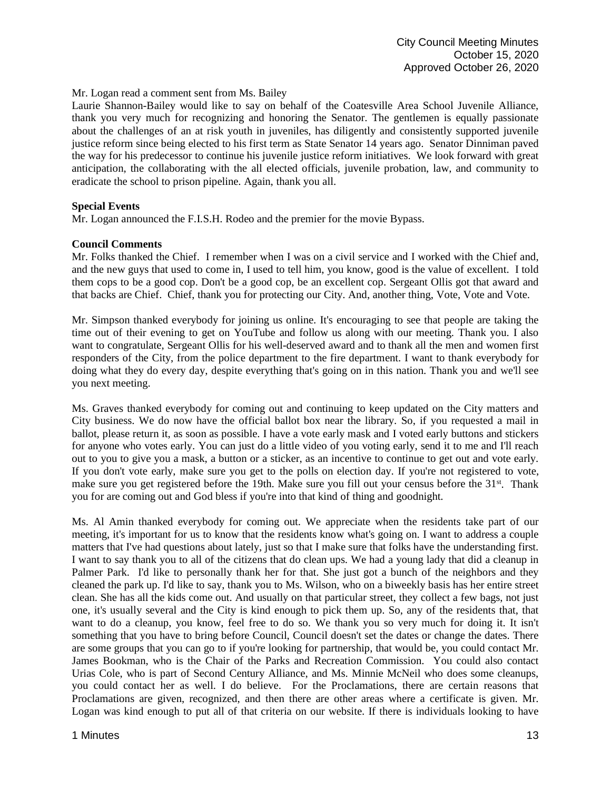Mr. Logan read a comment sent from Ms. Bailey

Laurie Shannon-Bailey would like to say on behalf of the Coatesville Area School Juvenile Alliance, thank you very much for recognizing and honoring the Senator. The gentlemen is equally passionate about the challenges of an at risk youth in juveniles, has diligently and consistently supported juvenile justice reform since being elected to his first term as State Senator 14 years ago. Senator Dinniman paved the way for his predecessor to continue his juvenile justice reform initiatives. We look forward with great anticipation, the collaborating with the all elected officials, juvenile probation, law, and community to eradicate the school to prison pipeline. Again, thank you all.

## **Special Events**

Mr. Logan announced the F.I.S.H. Rodeo and the premier for the movie Bypass.

## **Council Comments**

Mr. Folks thanked the Chief. I remember when I was on a civil service and I worked with the Chief and, and the new guys that used to come in, I used to tell him, you know, good is the value of excellent. I told them cops to be a good cop. Don't be a good cop, be an excellent cop. Sergeant Ollis got that award and that backs are Chief. Chief, thank you for protecting our City. And, another thing, Vote, Vote and Vote.

Mr. Simpson thanked everybody for joining us online. It's encouraging to see that people are taking the time out of their evening to get on YouTube and follow us along with our meeting. Thank you. I also want to congratulate, Sergeant Ollis for his well-deserved award and to thank all the men and women first responders of the City, from the police department to the fire department. I want to thank everybody for doing what they do every day, despite everything that's going on in this nation. Thank you and we'll see you next meeting.

Ms. Graves thanked everybody for coming out and continuing to keep updated on the City matters and City business. We do now have the official ballot box near the library. So, if you requested a mail in ballot, please return it, as soon as possible. I have a vote early mask and I voted early buttons and stickers for anyone who votes early. You can just do a little video of you voting early, send it to me and I'll reach out to you to give you a mask, a button or a sticker, as an incentive to continue to get out and vote early. If you don't vote early, make sure you get to the polls on election day. If you're not registered to vote, make sure you get registered before the 19th. Make sure you fill out your census before the 31st. Thank you for are coming out and God bless if you're into that kind of thing and goodnight.

Ms. Al Amin thanked everybody for coming out. We appreciate when the residents take part of our meeting, it's important for us to know that the residents know what's going on. I want to address a couple matters that I've had questions about lately, just so that I make sure that folks have the understanding first. I want to say thank you to all of the citizens that do clean ups. We had a young lady that did a cleanup in Palmer Park. I'd like to personally thank her for that. She just got a bunch of the neighbors and they cleaned the park up. I'd like to say, thank you to Ms. Wilson, who on a biweekly basis has her entire street clean. She has all the kids come out. And usually on that particular street, they collect a few bags, not just one, it's usually several and the City is kind enough to pick them up. So, any of the residents that, that want to do a cleanup, you know, feel free to do so. We thank you so very much for doing it. It isn't something that you have to bring before Council, Council doesn't set the dates or change the dates. There are some groups that you can go to if you're looking for partnership, that would be, you could contact Mr. James Bookman, who is the Chair of the Parks and Recreation Commission. You could also contact Urias Cole, who is part of Second Century Alliance, and Ms. Minnie McNeil who does some cleanups, you could contact her as well. I do believe. For the Proclamations, there are certain reasons that Proclamations are given, recognized, and then there are other areas where a certificate is given. Mr. Logan was kind enough to put all of that criteria on our website. If there is individuals looking to have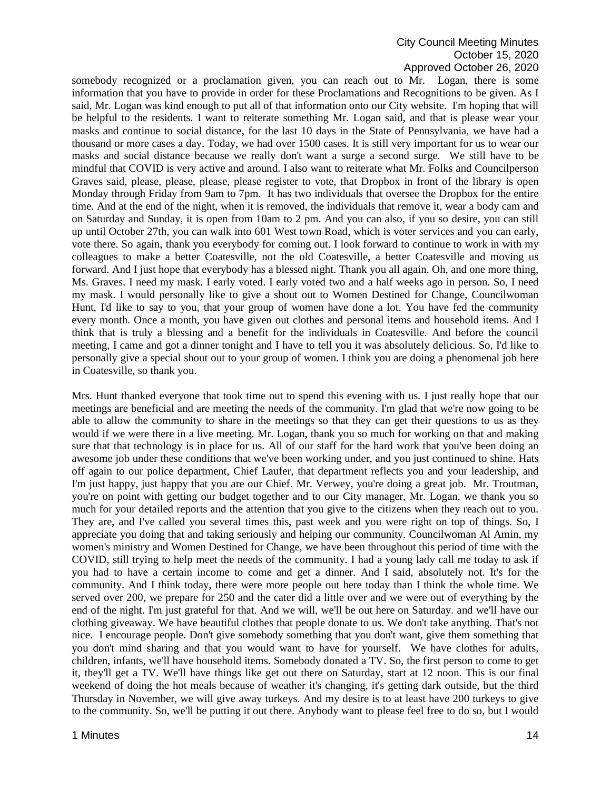#### City Council Meeting Minutes October 15, 2020 Approved October 26, 2020

somebody recognized or a proclamation given, you can reach out to Mr. Logan, there is some information that you have to provide in order for these Proclamations and Recognitions to be given. As I said, Mr. Logan was kind enough to put all of that information onto our City website. I'm hoping that will be helpful to the residents. I want to reiterate something Mr. Logan said, and that is please wear your masks and continue to social distance, for the last 10 days in the State of Pennsylvania, we have had a thousand or more cases a day. Today, we had over 1500 cases. It is still very important for us to wear our masks and social distance because we really don't want a surge a second surge. We still have to be mindful that COVID is very active and around. I also want to reiterate what Mr. Folks and Councilperson Graves said, please, please, please, please register to vote, that Dropbox in front of the library is open Monday through Friday from 9am to 7pm. It has two individuals that oversee the Dropbox for the entire time. And at the end of the night, when it is removed, the individuals that remove it, wear a body cam and on Saturday and Sunday, it is open from 10am to 2 pm. And you can also, if you so desire, you can still up until October 27th, you can walk into 601 West town Road, which is voter services and you can early, vote there. So again, thank you everybody for coming out. I look forward to continue to work in with my colleagues to make a better Coatesville, not the old Coatesville, a better Coatesville and moving us forward. And I just hope that everybody has a blessed night. Thank you all again. Oh, and one more thing, Ms. Graves. I need my mask. I early voted. I early voted two and a half weeks ago in person. So, I need my mask. I would personally like to give a shout out to Women Destined for Change, Councilwoman Hunt, I'd like to say to you, that your group of women have done a lot. You have fed the community every month. Once a month, you have given out clothes and personal items and household items. And I think that is truly a blessing and a benefit for the individuals in Coatesville. And before the council meeting, I came and got a dinner tonight and I have to tell you it was absolutely delicious. So, I'd like to personally give a special shout out to your group of women. I think you are doing a phenomenal job here in Coatesville, so thank you.

Mrs. Hunt thanked everyone that took time out to spend this evening with us. I just really hope that our meetings are beneficial and are meeting the needs of the community. I'm glad that we're now going to be able to allow the community to share in the meetings so that they can get their questions to us as they would if we were there in a live meeting. Mr. Logan, thank you so much for working on that and making sure that that technology is in place for us. All of our staff for the hard work that you've been doing an awesome job under these conditions that we've been working under, and you just continued to shine. Hats off again to our police department, Chief Laufer, that department reflects you and your leadership, and I'm just happy, just happy that you are our Chief. Mr. Verwey, you're doing a great job. Mr. Troutman, you're on point with getting our budget together and to our City manager, Mr. Logan, we thank you so much for your detailed reports and the attention that you give to the citizens when they reach out to you. They are, and I've called you several times this, past week and you were right on top of things. So, I appreciate you doing that and taking seriously and helping our community. Councilwoman Al Amin, my women's ministry and Women Destined for Change, we have been throughout this period of time with the COVID, still trying to help meet the needs of the community. I had a young lady call me today to ask if you had to have a certain income to come and get a dinner. And I said, absolutely not. It's for the community. And I think today, there were more people out here today than I think the whole time. We served over 200, we prepare for 250 and the cater did a little over and we were out of everything by the end of the night. I'm just grateful for that. And we will, we'll be out here on Saturday. and we'll have our clothing giveaway. We have beautiful clothes that people donate to us. We don't take anything. That's not nice. I encourage people. Don't give somebody something that you don't want, give them something that you don't mind sharing and that you would want to have for yourself. We have clothes for adults, children, infants, we'll have household items. Somebody donated a TV. So, the first person to come to get it, they'll get a TV. We'll have things like get out there on Saturday, start at 12 noon. This is our final weekend of doing the hot meals because of weather it's changing, it's getting dark outside, but the third Thursday in November, we will give away turkeys. And my desire is to at least have 200 turkeys to give to the community. So, we'll be putting it out there. Anybody want to please feel free to do so, but I would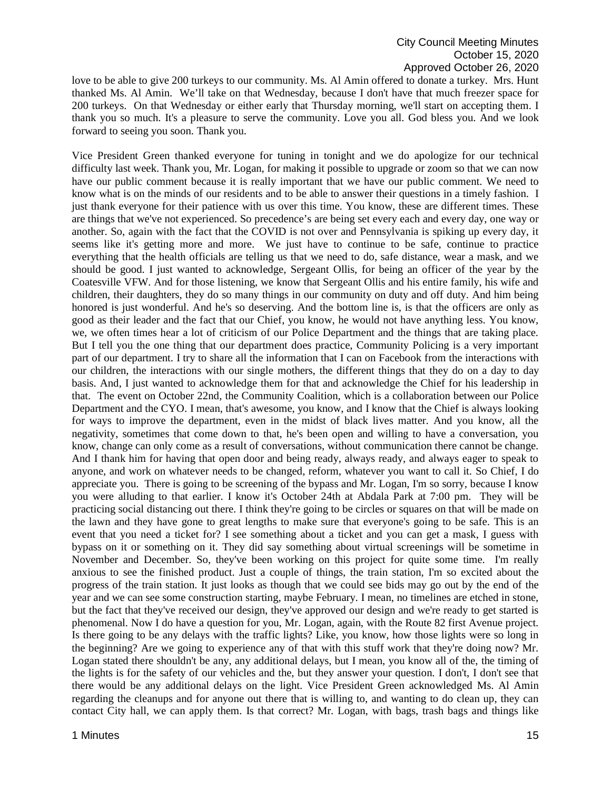love to be able to give 200 turkeys to our community. Ms. Al Amin offered to donate a turkey. Mrs. Hunt thanked Ms. Al Amin. We'll take on that Wednesday, because I don't have that much freezer space for 200 turkeys. On that Wednesday or either early that Thursday morning, we'll start on accepting them. I thank you so much. It's a pleasure to serve the community. Love you all. God bless you. And we look forward to seeing you soon. Thank you.

Vice President Green thanked everyone for tuning in tonight and we do apologize for our technical difficulty last week. Thank you, Mr. Logan, for making it possible to upgrade or zoom so that we can now have our public comment because it is really important that we have our public comment. We need to know what is on the minds of our residents and to be able to answer their questions in a timely fashion. I just thank everyone for their patience with us over this time. You know, these are different times. These are things that we've not experienced. So precedence's are being set every each and every day, one way or another. So, again with the fact that the COVID is not over and Pennsylvania is spiking up every day, it seems like it's getting more and more. We just have to continue to be safe, continue to practice everything that the health officials are telling us that we need to do, safe distance, wear a mask, and we should be good. I just wanted to acknowledge, Sergeant Ollis, for being an officer of the year by the Coatesville VFW. And for those listening, we know that Sergeant Ollis and his entire family, his wife and children, their daughters, they do so many things in our community on duty and off duty. And him being honored is just wonderful. And he's so deserving. And the bottom line is, is that the officers are only as good as their leader and the fact that our Chief, you know, he would not have anything less. You know, we, we often times hear a lot of criticism of our Police Department and the things that are taking place. But I tell you the one thing that our department does practice, Community Policing is a very important part of our department. I try to share all the information that I can on Facebook from the interactions with our children, the interactions with our single mothers, the different things that they do on a day to day basis. And, I just wanted to acknowledge them for that and acknowledge the Chief for his leadership in that. The event on October 22nd, the Community Coalition, which is a collaboration between our Police Department and the CYO. I mean, that's awesome, you know, and I know that the Chief is always looking for ways to improve the department, even in the midst of black lives matter. And you know, all the negativity, sometimes that come down to that, he's been open and willing to have a conversation, you know, change can only come as a result of conversations, without communication there cannot be change. And I thank him for having that open door and being ready, always ready, and always eager to speak to anyone, and work on whatever needs to be changed, reform, whatever you want to call it. So Chief, I do appreciate you. There is going to be screening of the bypass and Mr. Logan, I'm so sorry, because I know you were alluding to that earlier. I know it's October 24th at Abdala Park at 7:00 pm. They will be practicing social distancing out there. I think they're going to be circles or squares on that will be made on the lawn and they have gone to great lengths to make sure that everyone's going to be safe. This is an event that you need a ticket for? I see something about a ticket and you can get a mask, I guess with bypass on it or something on it. They did say something about virtual screenings will be sometime in November and December. So, they've been working on this project for quite some time. I'm really anxious to see the finished product. Just a couple of things, the train station, I'm so excited about the progress of the train station. It just looks as though that we could see bids may go out by the end of the year and we can see some construction starting, maybe February. I mean, no timelines are etched in stone, but the fact that they've received our design, they've approved our design and we're ready to get started is phenomenal. Now I do have a question for you, Mr. Logan, again, with the Route 82 first Avenue project. Is there going to be any delays with the traffic lights? Like, you know, how those lights were so long in the beginning? Are we going to experience any of that with this stuff work that they're doing now? Mr. Logan stated there shouldn't be any, any additional delays, but I mean, you know all of the, the timing of the lights is for the safety of our vehicles and the, but they answer your question. I don't, I don't see that there would be any additional delays on the light. Vice President Green acknowledged Ms. Al Amin regarding the cleanups and for anyone out there that is willing to, and wanting to do clean up, they can contact City hall, we can apply them. Is that correct? Mr. Logan, with bags, trash bags and things like